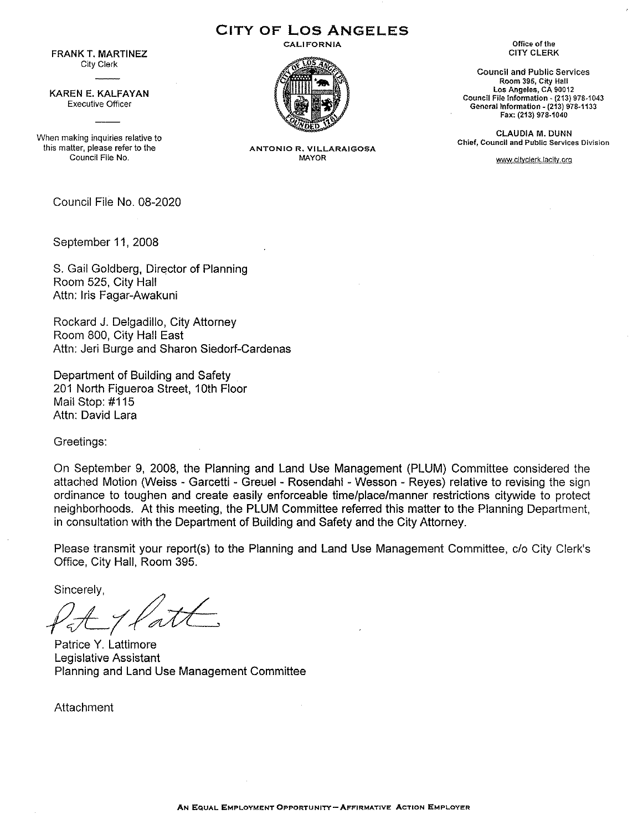FRANK T. MARTINEZ **City Clerk** 

KAREN E. KALFAYAN **Executive Officer** 

**When making inquiries relative to this matter, please refer to the Council File No.** 

Council File No. 08-2020

September 11, 2008

S. Gail Goldberg, Director of Planning Room 525, City Hall Attn: Iris Fagar-Awakuni

Reckard J. Delgadillo, City Attorney Room 800, City Hall East Attn: Jeri Burge and Sharon Siedorf-Cardenas

Department of Building and Safety 201 North Figueroa Street, 1Oth Floor Mail Stop: #115 Attn: David Lara

Greetings:

On September 9, 2008, the Planning and Land Use Management (PLUM) Committee considered the attached Motion (Weiss - Garcetti - Greuel - Rosendahl -Wesson - Reyes) relative to revising the sign ordinance to toughen and create easily enforceable time/place/manner restrictions citywide to protect neighborhoods. At this meeting, the PLUM Committee referred this matter to the Planning Department, in consultation with the Department of Building and Safety and the City Attorney.

Please transmit your report(s) to the Planning and Land Use Management Committee, c/o City Clerk's Office, City Hall, Room 395.

Sincerely,

Patrice Y. Lattimore Legislative Assistant Planning and Land Use Management Committee

Attachment



**CITY OF LOS ANGELES** 

**CALIFORNIA** 

**Office of the**  CITY CLERK

**Council and Public Services Room 395, City Hall Los Angeles, CA 90012 Council File** Information~ **{213) 978-1043 General Information- (213) 978-1133 Fax: (213) 978-1040** 

CLAUDIA M. DUNN **Chief, Council and Public Services Division** 

**wvm.cityclerk.!acity.orq** 

**ANTONIO R. VIL.LARAIGOSA**  MAYOR